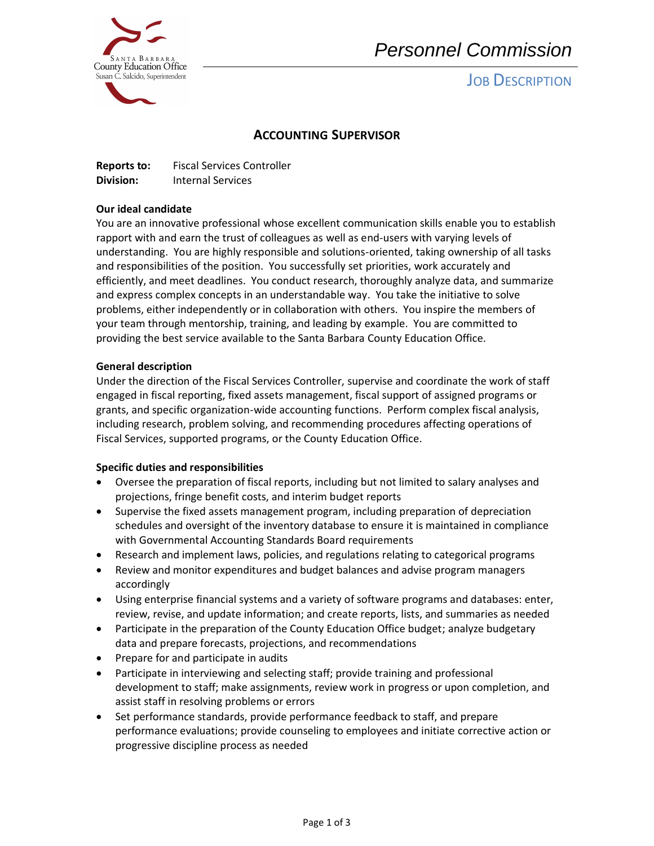

# *Personnel Commission*

**JOB DESCRIPTION** 

### **ACCOUNTING SUPERVISOR**

**Reports to:** Fiscal Services Controller **Division:** Internal Services

#### **Our ideal candidate**

 your team through mentorship, training, and leading by example. You are committed to You are an innovative professional whose excellent communication skills enable you to establish rapport with and earn the trust of colleagues as well as end-users with varying levels of understanding. You are highly responsible and solutions-oriented, taking ownership of all tasks and responsibilities of the position. You successfully set priorities, work accurately and efficiently, and meet deadlines. You conduct research, thoroughly analyze data, and summarize and express complex concepts in an understandable way. You take the initiative to solve problems, either independently or in collaboration with others. You inspire the members of providing the best service available to the Santa Barbara County Education Office.

#### **General description**

Under the direction of the Fiscal Services Controller, supervise and coordinate the work of staff engaged in fiscal reporting, fixed assets management, fiscal support of assigned programs or grants, and specific organization-wide accounting functions. Perform complex fiscal analysis, including research, problem solving, and recommending procedures affecting operations of Fiscal Services, supported programs, or the County Education Office.

#### **Specific duties and responsibilities**

- Oversee the preparation of fiscal reports, including but not limited to salary analyses and projections, fringe benefit costs, and interim budget reports
- Supervise the fixed assets management program, including preparation of depreciation schedules and oversight of the inventory database to ensure it is maintained in compliance with Governmental Accounting Standards Board requirements
- Research and implement laws, policies, and regulations relating to categorical programs
- Review and monitor expenditures and budget balances and advise program managers accordingly
- Using enterprise financial systems and a variety of software programs and databases: enter, review, revise, and update information; and create reports, lists, and summaries as needed
- Participate in the preparation of the County Education Office budget; analyze budgetary data and prepare forecasts, projections, and recommendations
- Prepare for and participate in audits
- Participate in interviewing and selecting staff; provide training and professional development to staff; make assignments, review work in progress or upon completion, and assist staff in resolving problems or errors
- Set performance standards, provide performance feedback to staff, and prepare performance evaluations; provide counseling to employees and initiate corrective action or progressive discipline process as needed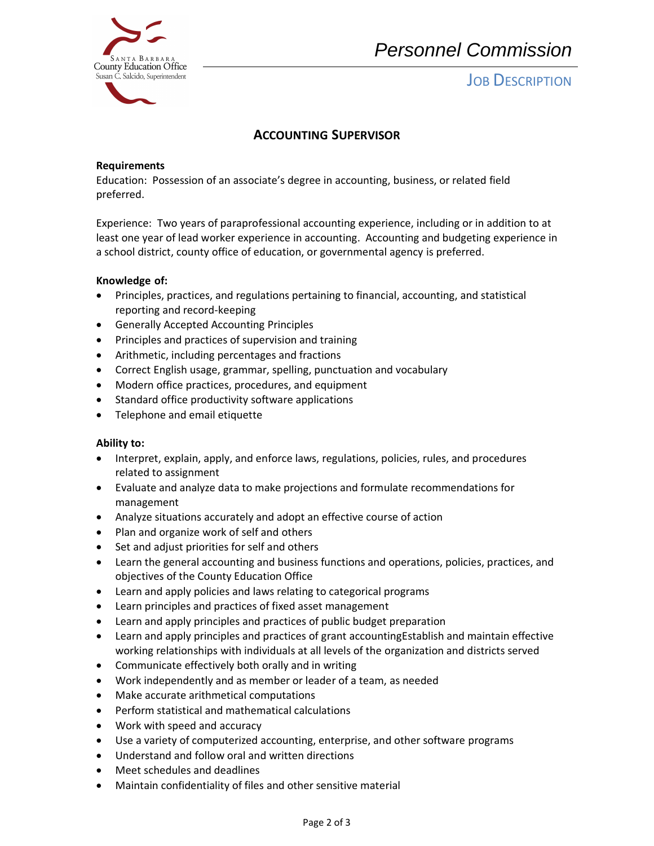

## *Personnel Commission*

## **JOB DESCRIPTION**

### **ACCOUNTING SUPERVISOR**

#### **Requirements**

Education: Possession of an associate's degree in accounting, business, or related field preferred.

 Experience: Two years of paraprofessional accounting experience, including or in addition to at least one year of lead worker experience in accounting. Accounting and budgeting experience in a school district, county office of education, or governmental agency is preferred.

#### **Knowledge of:**

- Principles, practices, and regulations pertaining to financial, accounting, and statistical reporting and record-keeping
- Generally Accepted Accounting Principles
- Principles and practices of supervision and training
- Arithmetic, including percentages and fractions
- Correct English usage, grammar, spelling, punctuation and vocabulary
- Modern office practices, procedures, and equipment
- Standard office productivity software applications
- Telephone and email etiquette

#### **Ability to:**

- Interpret, explain, apply, and enforce laws, regulations, policies, rules, and procedures related to assignment
- Evaluate and analyze data to make projections and formulate recommendations for management
- Analyze situations accurately and adopt an effective course of action
- Plan and organize work of self and others
- Set and adjust priorities for self and others
- Learn the general accounting and business functions and operations, policies, practices, and objectives of the County Education Office
- Learn and apply policies and laws relating to categorical programs
- Learn principles and practices of fixed asset management
- Learn and apply principles and practices of public budget preparation
- Learn and apply principles and practices of grant accountingEstablish and maintain effective working relationships with individuals at all levels of the organization and districts served
- Communicate effectively both orally and in writing
- Work independently and as member or leader of a team, as needed
- Make accurate arithmetical computations
- Perform statistical and mathematical calculations
- Work with speed and accuracy
- Use a variety of computerized accounting, enterprise, and other software programs
- Understand and follow oral and written directions
- Meet schedules and deadlines
- Maintain confidentiality of files and other sensitive material